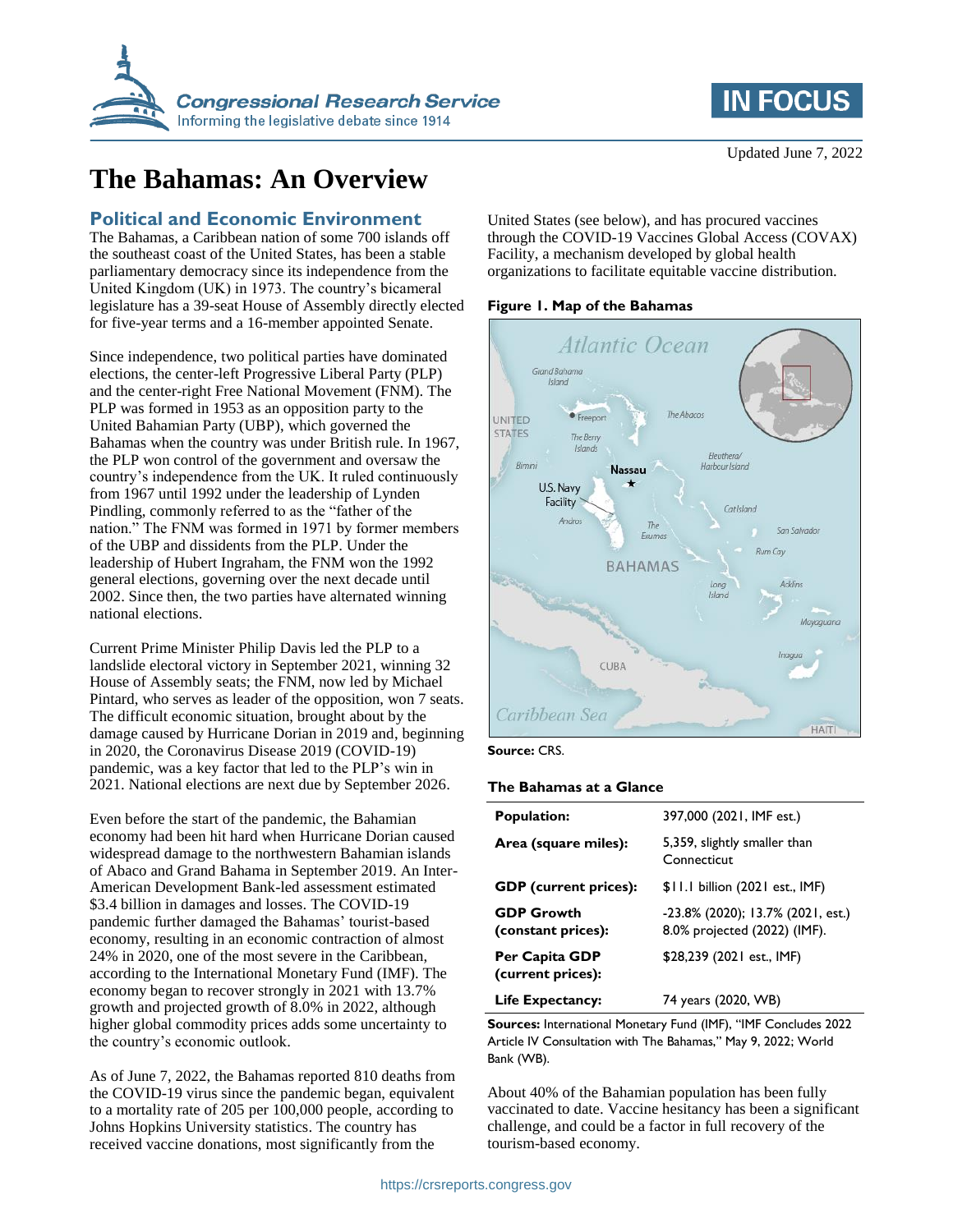

# **The Bahamas: An Overview**

### **Political and Economic Environment**

The Bahamas, a Caribbean nation of some 700 islands off the southeast coast of the United States, has been a stable parliamentary democracy since its independence from the United Kingdom (UK) in 1973. The country's bicameral legislature has a 39-seat House of Assembly directly elected for five-year terms and a 16-member appointed Senate.

Since independence, two political parties have dominated elections, the center-left Progressive Liberal Party (PLP) and the center-right Free National Movement (FNM). The PLP was formed in 1953 as an opposition party to the United Bahamian Party (UBP), which governed the Bahamas when the country was under British rule. In 1967, the PLP won control of the government and oversaw the country's independence from the UK. It ruled continuously from 1967 until 1992 under the leadership of Lynden Pindling, commonly referred to as the "father of the nation." The FNM was formed in 1971 by former members of the UBP and dissidents from the PLP. Under the leadership of Hubert Ingraham, the FNM won the 1992 general elections, governing over the next decade until 2002. Since then, the two parties have alternated winning national elections.

Current Prime Minister Philip Davis led the PLP to a landslide electoral victory in September 2021, winning 32 House of Assembly seats; the FNM, now led by Michael Pintard, who serves as leader of the opposition, won 7 seats. The difficult economic situation, brought about by the damage caused by Hurricane Dorian in 2019 and, beginning in 2020, the Coronavirus Disease 2019 (COVID-19) pandemic, was a key factor that led to the PLP's win in 2021. National elections are next due by September 2026.

Even before the start of the pandemic, the Bahamian economy had been hit hard when Hurricane Dorian caused widespread damage to the northwestern Bahamian islands of Abaco and Grand Bahama in September 2019. An Inter-American Development Bank-led assessment estimated \$3.4 billion in damages and losses. The COVID-19 pandemic further damaged the Bahamas' tourist-based economy, resulting in an economic contraction of almost 24% in 2020, one of the most severe in the Caribbean, according to the International Monetary Fund (IMF). The economy began to recover strongly in 2021 with 13.7% growth and projected growth of 8.0% in 2022, although higher global commodity prices adds some uncertainty to the country's economic outlook.

As of June 7, 2022, the Bahamas reported 810 deaths from the COVID-19 virus since the pandemic began, equivalent to a mortality rate of 205 per 100,000 people, according to Johns Hopkins University statistics. The country has received vaccine donations, most significantly from the

**IN FOCUS** 

United States (see below), and has procured vaccines through the COVID-19 Vaccines Global Access (COVAX) Facility, a mechanism developed by global health organizations to facilitate equitable vaccine distribution.

#### **Figure 1. Map of the Bahamas**



#### **Source:** CRS.

#### **The Bahamas at a Glance**

| <b>Population:</b>                      | 397,000 (2021, IMF est.)                                          |
|-----------------------------------------|-------------------------------------------------------------------|
| Area (square miles):                    | 5,359, slightly smaller than<br>Connecticut                       |
| <b>GDP</b> (current prices):            | \$11.1 billion (2021 est., IMF)                                   |
| <b>GDP Growth</b><br>(constant prices): | -23.8% (2020); 13.7% (2021, est.)<br>8.0% projected (2022) (IMF). |
| Per Capita GDP<br>(current prices):     | \$28,239 (2021 est., IMF)                                         |
| Life Expectancy:                        | 74 years (2020, WB)                                               |

**Sources:** International Monetary Fund (IMF), "IMF Concludes 2022 Article IV Consultation with The Bahamas," May 9, 2022; World Bank (WB).

About 40% of the Bahamian population has been fully vaccinated to date. Vaccine hesitancy has been a significant challenge, and could be a factor in full recovery of the tourism-based economy.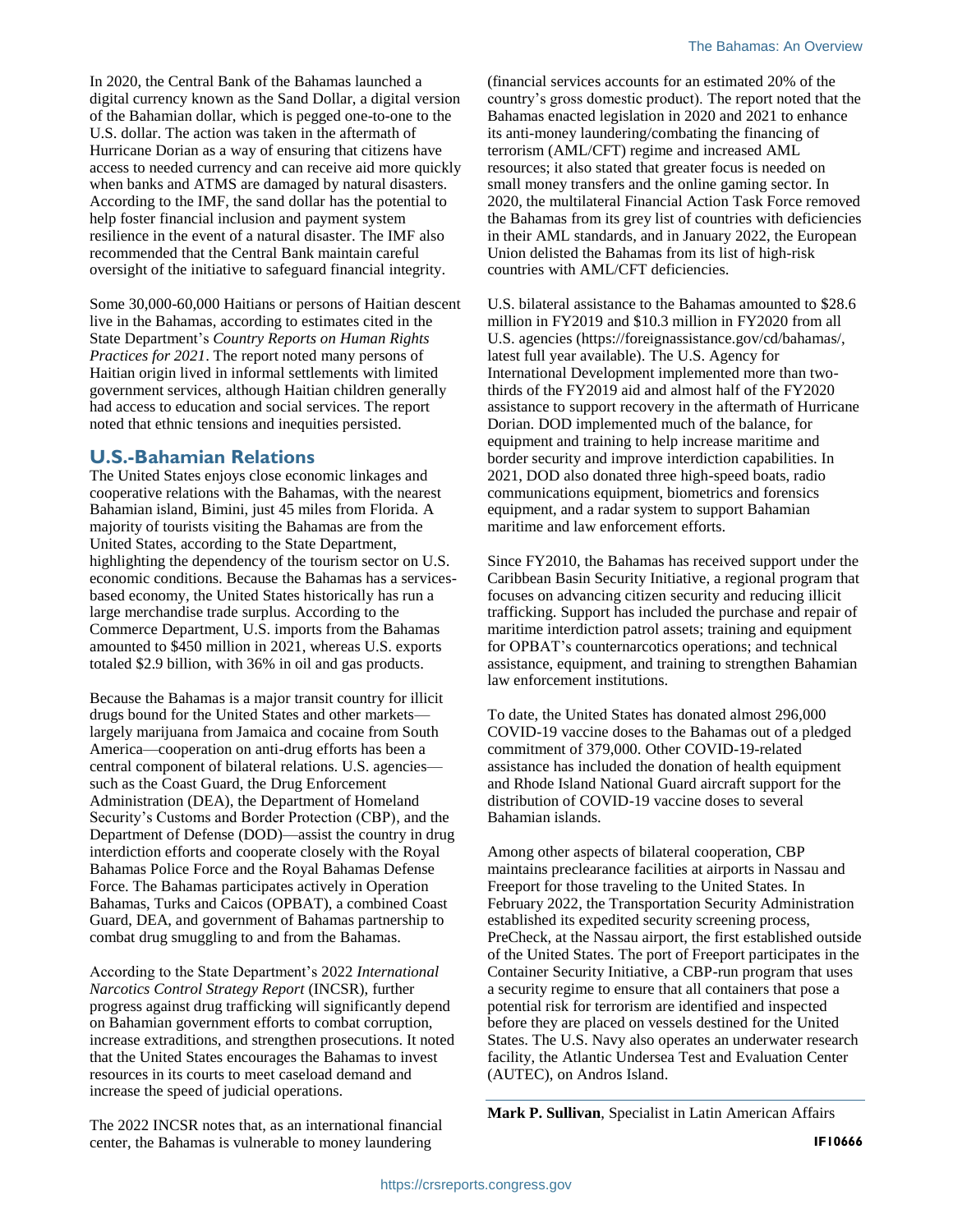In 2020, the Central Bank of the Bahamas launched a digital currency known as the Sand Dollar, a digital version of the Bahamian dollar, which is pegged one-to-one to the U.S. dollar. The action was taken in the aftermath of Hurricane Dorian as a way of ensuring that citizens have access to needed currency and can receive aid more quickly when banks and ATMS are damaged by natural disasters. According to the IMF, the sand dollar has the potential to help foster financial inclusion and payment system resilience in the event of a natural disaster. The IMF also recommended that the Central Bank maintain careful oversight of the initiative to safeguard financial integrity.

Some 30,000-60,000 Haitians or persons of Haitian descent live in the Bahamas, according to estimates cited in the State Department's *Country Reports on Human Rights Practices for 2021*. The report noted many persons of Haitian origin lived in informal settlements with limited government services, although Haitian children generally had access to education and social services. The report noted that ethnic tensions and inequities persisted.

## **U.S.-Bahamian Relations**

The United States enjoys close economic linkages and cooperative relations with the Bahamas, with the nearest Bahamian island, Bimini, just 45 miles from Florida. A majority of tourists visiting the Bahamas are from the United States, according to the State Department, highlighting the dependency of the tourism sector on U.S. economic conditions. Because the Bahamas has a servicesbased economy, the United States historically has run a large merchandise trade surplus. According to the Commerce Department, U.S. imports from the Bahamas amounted to \$450 million in 2021, whereas U.S. exports totaled \$2.9 billion, with 36% in oil and gas products.

Because the Bahamas is a major transit country for illicit drugs bound for the United States and other markets largely marijuana from Jamaica and cocaine from South America—cooperation on anti-drug efforts has been a central component of bilateral relations. U.S. agencies such as the Coast Guard, the Drug Enforcement Administration (DEA), the Department of Homeland Security's Customs and Border Protection (CBP), and the Department of Defense (DOD)—assist the country in drug interdiction efforts and cooperate closely with the Royal Bahamas Police Force and the Royal Bahamas Defense Force. The Bahamas participates actively in Operation Bahamas, Turks and Caicos (OPBAT), a combined Coast Guard, DEA, and government of Bahamas partnership to combat drug smuggling to and from the Bahamas.

According to the State Department's 2022 *International Narcotics Control Strategy Report* (INCSR), further progress against drug trafficking will significantly depend on Bahamian government efforts to combat corruption, increase extraditions, and strengthen prosecutions. It noted that the United States encourages the Bahamas to invest resources in its courts to meet caseload demand and increase the speed of judicial operations.

The 2022 INCSR notes that, as an international financial center, the Bahamas is vulnerable to money laundering

(financial services accounts for an estimated 20% of the country's gross domestic product). The report noted that the Bahamas enacted legislation in 2020 and 2021 to enhance its anti-money laundering/combating the financing of terrorism (AML/CFT) regime and increased AML resources; it also stated that greater focus is needed on small money transfers and the online gaming sector. In 2020, the multilateral Financial Action Task Force removed the Bahamas from its grey list of countries with deficiencies in their AML standards, and in January 2022, the European Union delisted the Bahamas from its list of high-risk countries with AML/CFT deficiencies.

U.S. bilateral assistance to the Bahamas amounted to \$28.6 million in FY2019 and \$10.3 million in FY2020 from all U.S. agencies (https://foreignassistance.gov/cd/bahamas/, latest full year available). The U.S. Agency for International Development implemented more than twothirds of the FY2019 aid and almost half of the FY2020 assistance to support recovery in the aftermath of Hurricane Dorian. DOD implemented much of the balance, for equipment and training to help increase maritime and border security and improve interdiction capabilities. In 2021, DOD also donated three high-speed boats, radio communications equipment, biometrics and forensics equipment, and a radar system to support Bahamian maritime and law enforcement efforts.

Since FY2010, the Bahamas has received support under the Caribbean Basin Security Initiative, a regional program that focuses on advancing citizen security and reducing illicit trafficking. Support has included the purchase and repair of maritime interdiction patrol assets; training and equipment for OPBAT's counternarcotics operations; and technical assistance, equipment, and training to strengthen Bahamian law enforcement institutions.

To date, the United States has donated almost 296,000 COVID-19 vaccine doses to the Bahamas out of a pledged commitment of 379,000. Other COVID-19-related assistance has included the donation of health equipment and Rhode Island National Guard aircraft support for the distribution of COVID-19 vaccine doses to several Bahamian islands.

Among other aspects of bilateral cooperation, CBP maintains preclearance facilities at airports in Nassau and Freeport for those traveling to the United States. In February 2022, the Transportation Security Administration established its expedited security screening process, PreCheck, at the Nassau airport, the first established outside of the United States. The port of Freeport participates in the Container Security Initiative, a CBP-run program that uses a security regime to ensure that all containers that pose a potential risk for terrorism are identified and inspected before they are placed on vessels destined for the United States. The U.S. Navy also operates an underwater research facility, the Atlantic Undersea Test and Evaluation Center (AUTEC), on Andros Island.

**Mark P. Sullivan**, Specialist in Latin American Affairs